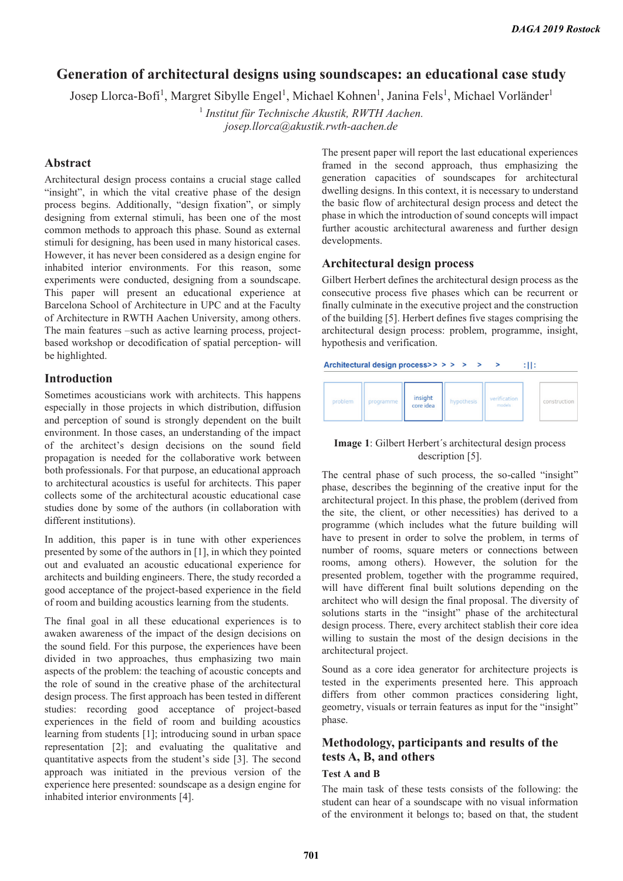# **Generation of architectural designs using soundscapes: an educational case study**

Josep Llorca-Bofi<sup>1</sup>, Margret Sibylle Engel<sup>1</sup>, Michael Kohnen<sup>1</sup>, Janina Fels<sup>1</sup>, Michael Vorländer<sup>1</sup>

1  *Institut für Technische Akustik, RWTH Aachen. josep.llorca@akustik.rwth-aachen.de* 

# **Abstract**

Architectural design process contains a crucial stage called "insight", in which the vital creative phase of the design process begins. Additionally, "design fixation", or simply designing from external stimuli, has been one of the most common methods to approach this phase. Sound as external stimuli for designing, has been used in many historical cases. However, it has never been considered as a design engine for inhabited interior environments. For this reason, some experiments were conducted, designing from a soundscape. This paper will present an educational experience at Barcelona School of Architecture in UPC and at the Faculty of Architecture in RWTH Aachen University, among others. The main features –such as active learning process, projectbased workshop or decodification of spatial perception- will be highlighted.

## **Introduction**

Sometimes acousticians work with architects. This happens especially in those projects in which distribution, diffusion and perception of sound is strongly dependent on the built environment. In those cases, an understanding of the impact of the architect's design decisions on the sound field propagation is needed for the collaborative work between both professionals. For that purpose, an educational approach to architectural acoustics is useful for architects. This paper collects some of the architectural acoustic educational case studies done by some of the authors (in collaboration with different institutions).

In addition, this paper is in tune with other experiences presented by some of the authors in [1], in which they pointed out and evaluated an acoustic educational experience for architects and building engineers. There, the study recorded a good acceptance of the project-based experience in the field of room and building acoustics learning from the students.

The final goal in all these educational experiences is to awaken awareness of the impact of the design decisions on the sound field. For this purpose, the experiences have been divided in two approaches, thus emphasizing two main aspects of the problem: the teaching of acoustic concepts and the role of sound in the creative phase of the architectural design process. The first approach has been tested in different studies: recording good acceptance of project-based experiences in the field of room and building acoustics learning from students [1]; introducing sound in urban space representation [2]; and evaluating the qualitative and quantitative aspects from the student's side [3]. The second approach was initiated in the previous version of the experience here presented: soundscape as a design engine for inhabited interior environments [4].

The present paper will report the last educational experiences framed in the second approach, thus emphasizing the generation capacities of soundscapes for architectural dwelling designs. In this context, it is necessary to understand the basic flow of architectural design process and detect the phase in which the introduction of sound concepts will impact further acoustic architectural awareness and further design developments.

#### **Architectural design process**

Gilbert Herbert defines the architectural design process as the consecutive process five phases which can be recurrent or finally culminate in the executive project and the construction of the building [5]. Herbert defines five stages comprising the architectural design process: problem, programme, insight, hypothesis and verification.

#### $:$  H:

| problem | programme, | insight<br>core idea | hypothesis | verification<br>models | construction |  |
|---------|------------|----------------------|------------|------------------------|--------------|--|
|---------|------------|----------------------|------------|------------------------|--------------|--|

#### **Image 1**: Gilbert Herbert´s architectural design process description [5].

The central phase of such process, the so-called "insight" phase, describes the beginning of the creative input for the architectural project. In this phase, the problem (derived from the site, the client, or other necessities) has derived to a programme (which includes what the future building will have to present in order to solve the problem, in terms of number of rooms, square meters or connections between rooms, among others). However, the solution for the presented problem, together with the programme required, will have different final built solutions depending on the architect who will design the final proposal. The diversity of solutions starts in the "insight" phase of the architectural design process. There, every architect stablish their core idea willing to sustain the most of the design decisions in the architectural project.

Sound as a core idea generator for architecture projects is tested in the experiments presented here. This approach differs from other common practices considering light, geometry, visuals or terrain features as input for the "insight" phase.

# **Methodology, participants and results of the tests A, B, and others**

### **Test A and B**

The main task of these tests consists of the following: the student can hear of a soundscape with no visual information of the environment it belongs to; based on that, the student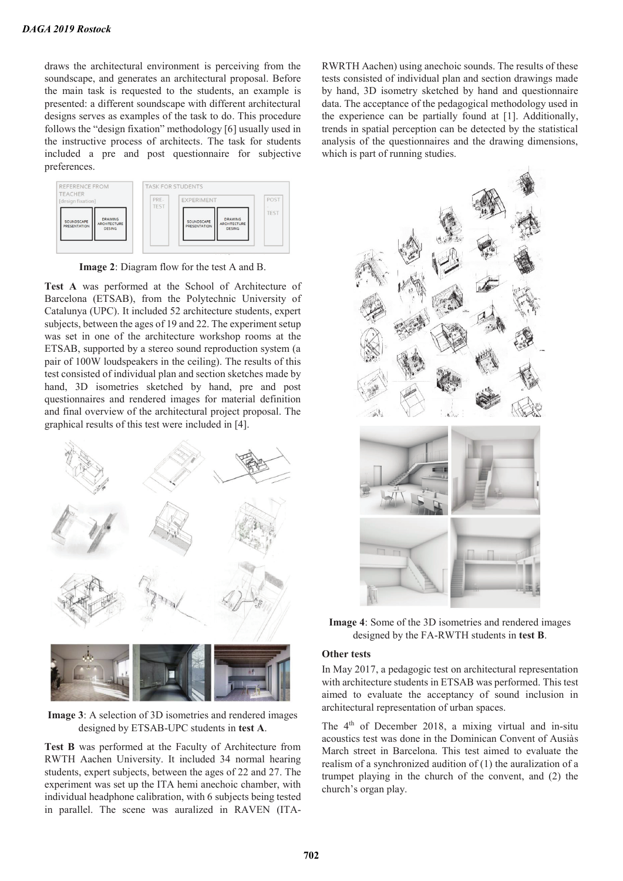draws the architectural environment is perceiving from the soundscape, and generates an architectural proposal. Before the main task is requested to the students, an example is presented: a different soundscape with different architectural designs serves as examples of the task to do. This procedure follows the "design fixation" methodology [6] usually used in the instructive process of architects. The task for students included a pre and post questionnaire for subjective preferences.



**Image 2**: Diagram flow for the test A and B.

**Test A** was performed at the School of Architecture of Barcelona (ETSAB), from the Polytechnic University of Catalunya (UPC). It included 52 architecture students, expert subjects, between the ages of 19 and 22. The experiment setup was set in one of the architecture workshop rooms at the ETSAB, supported by a stereo sound reproduction system (a pair of 100W loudspeakers in the ceiling). The results of this test consisted of individual plan and section sketches made by hand, 3D isometries sketched by hand, pre and post questionnaires and rendered images for material definition and final overview of the architectural project proposal. The graphical results of this test were included in [4].



**Image 3**: A selection of 3D isometries and rendered images designed by ETSAB-UPC students in **test A**.

**Test B** was performed at the Faculty of Architecture from RWTH Aachen University. It included 34 normal hearing students, expert subjects, between the ages of 22 and 27. The experiment was set up the ITA hemi anechoic chamber, with individual headphone calibration, with 6 subjects being tested in parallel. The scene was auralized in RAVEN (ITA-

RWRTH Aachen) using anechoic sounds. The results of these tests consisted of individual plan and section drawings made by hand, 3D isometry sketched by hand and questionnaire data. The acceptance of the pedagogical methodology used in the experience can be partially found at [1]. Additionally, trends in spatial perception can be detected by the statistical analysis of the questionnaires and the drawing dimensions, which is part of running studies.



**Image 4**: Some of the 3D isometries and rendered images designed by the FA-RWTH students in **test B**.

#### **Other tests**

In May 2017, a pedagogic test on architectural representation with architecture students in ETSAB was performed. This test aimed to evaluate the acceptancy of sound inclusion in architectural representation of urban spaces.

The 4th of December 2018, a mixing virtual and in-situ acoustics test was done in the Dominican Convent of Ausiàs March street in Barcelona. This test aimed to evaluate the realism of a synchronized audition of (1) the auralization of a trumpet playing in the church of the convent, and (2) the church's organ play.